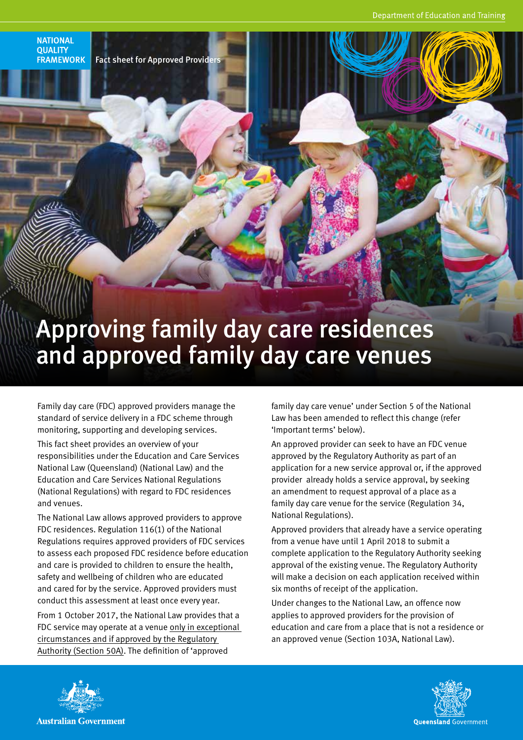LHILL



**NATIONAL QUALITY** 

# Approving family day care residences and approved family day care venues

Family day care (FDC) approved providers manage the standard of service delivery in a FDC scheme through monitoring, supporting and developing services.

This fact sheet provides an overview of your responsibilities under the Education and Care Services National Law (Queensland) (National Law) and the Education and Care Services National Regulations (National Regulations) with regard to FDC residences and venues.

The National Law allows approved providers to approve FDC residences. Regulation 116(1) of the National Regulations requires approved providers of FDC services to assess each proposed FDC residence before education and care is provided to children to ensure the health, safety and wellbeing of children who are educated and cared for by the service. Approved providers must conduct this assessment at least once every year.

From 1 October 2017, the National Law provides that a FDC service may operate at a venue only in exceptional circumstances and if approved by the Regulatory Authority (Section 50A). The definition of 'approved

family day care venue' under Section 5 of the National Law has been amended to reflect this change (refer 'Important terms' below).

An approved provider can seek to have an FDC venue approved by the Regulatory Authority as part of an application for a new service approval or, if the approved provider already holds a service approval, by seeking an amendment to request approval of a place as a family day care venue for the service (Regulation 34, National Regulations).

Approved providers that already have a service operating from a venue have until 1 April 2018 to submit a complete application to the Regulatory Authority seeking approval of the existing venue. The Regulatory Authority will make a decision on each application received within six months of receipt of the application.

Under changes to the National Law, an offence now applies to approved providers for the provision of education and care from a place that is not a residence or an approved venue (Section 103A, National Law).



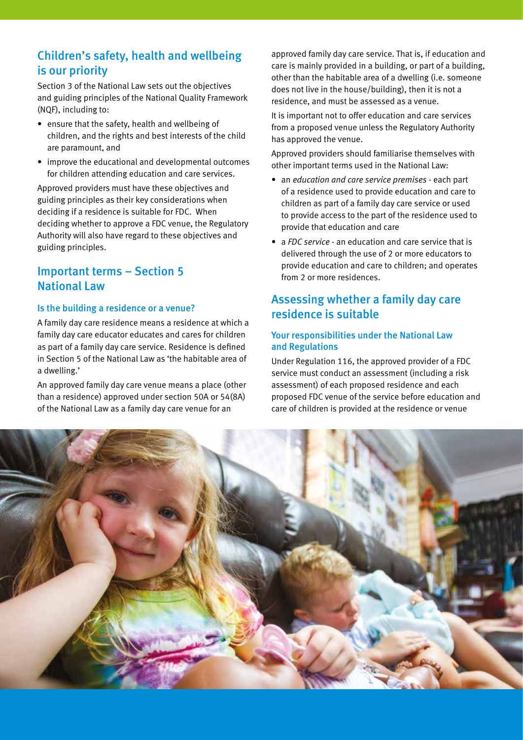## Children's safety, health and wellbeing is our priority

Section 3 of the National Law sets out the objectives and guiding principles of the National Quality Framework (NQF), including to:

- ensure that the safety, health and wellbeing of children, and the rights and best interests of the child are paramount, and
- improve the educational and developmental outcomes for children attending education and care services.

Approved providers must have these objectives and guiding principles as their key considerations when deciding if a residence is suitable for FDC. When deciding whether to approve a FDC venue, the Regulatory Authority will also have regard to these objectives and guiding principles.

## Important terms – Section 5 National Law

#### Is the building a residence or a venue?

A family day care residence means a residence at which a family day care educator educates and cares for children as part of a family day care service. Residence is defined in Section 5 of the National Law as 'the habitable area of a dwelling.'

An approved family day care venue means a place (other than a residence) approved under section 50A or 54(8A) of the National Law as a family day care venue for an

approved family day care service. That is, if education and care is mainly provided in a building, or part of a building, other than the habitable area of a dwelling (i.e. someone does not live in the house/building), then it is not a residence, and must be assessed as a venue.

It is important not to offer education and care services from a proposed venue unless the Regulatory Authority has approved the venue.

Approved providers should familiarise themselves with other important terms used in the National Law:

- an *education and care service premises* each part of a residence used to provide education and care to children as part of a family day care service or used to provide access to the part of the residence used to provide that education and care
- a *FDC service* an education and care service that is delivered through the use of 2 or more educators to provide education and care to children; and operates from 2 or more residences.

## Assessing whether a family day care residence is suitable

#### Your responsibilities under the National Law and Regulations

Under Regulation 116, the approved provider of a FDC service must conduct an assessment (including a risk assessment) of each proposed residence and each proposed FDC venue of the service before education and care of children is provided at the residence or venue

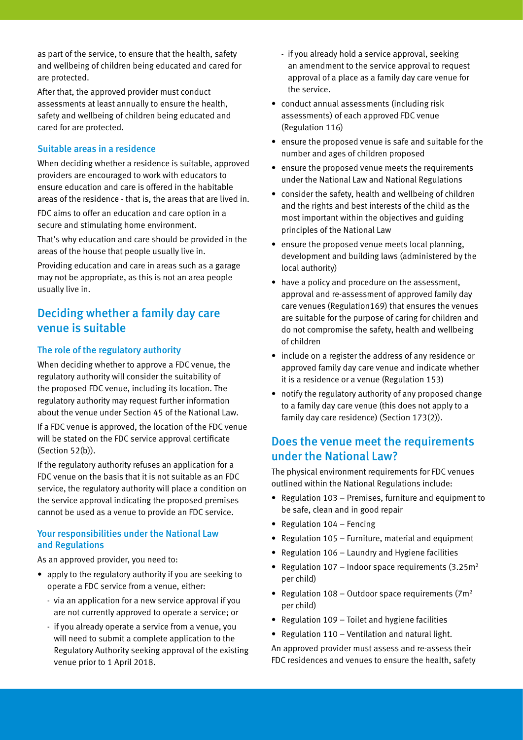as part of the service, to ensure that the health, safety and wellbeing of children being educated and cared for are protected.

After that, the approved provider must conduct assessments at least annually to ensure the health, safety and wellbeing of children being educated and cared for are protected.

#### Suitable areas in a residence

When deciding whether a residence is suitable, approved providers are encouraged to work with educators to ensure education and care is offered in the habitable areas of the residence - that is, the areas that are lived in. FDC aims to offer an education and care option in a secure and stimulating home environment.

That's why education and care should be provided in the areas of the house that people usually live in.

Providing education and care in areas such as a garage may not be appropriate, as this is not an area people usually live in.

## Deciding whether a family day care venue is suitable

#### The role of the regulatory authority

When deciding whether to approve a FDC venue, the regulatory authority will consider the suitability of the proposed FDC venue, including its location. The regulatory authority may request further information about the venue under Section 45 of the National Law.

If a FDC venue is approved, the location of the FDC venue will be stated on the FDC service approval certificate (Section 52(b)).

If the regulatory authority refuses an application for a FDC venue on the basis that it is not suitable as an FDC service, the regulatory authority will place a condition on the service approval indicating the proposed premises cannot be used as a venue to provide an FDC service.

#### Your responsibilities under the National Law and Regulations

As an approved provider, you need to:

- apply to the regulatory authority if you are seeking to operate a FDC service from a venue, either:
	- via an application for a new service approval if you are not currently approved to operate a service; or
	- if you already operate a service from a venue, you will need to submit a complete application to the Regulatory Authority seeking approval of the existing venue prior to 1 April 2018.
- if you already hold a service approval, seeking an amendment to the service approval to request approval of a place as a family day care venue for the service.
- conduct annual assessments (including risk assessments) of each approved FDC venue (Regulation 116)
- ensure the proposed venue is safe and suitable for the number and ages of children proposed
- ensure the proposed venue meets the requirements under the National Law and National Regulations
- consider the safety, health and wellbeing of children and the rights and best interests of the child as the most important within the objectives and guiding principles of the National Law
- ensure the proposed venue meets local planning, development and building laws (administered by the local authority)
- have a policy and procedure on the assessment, approval and re-assessment of approved family day care venues (Regulation169) that ensures the venues are suitable for the purpose of caring for children and do not compromise the safety, health and wellbeing of children
- include on a register the address of any residence or approved family day care venue and indicate whether it is a residence or a venue (Regulation 153)
- notify the regulatory authority of any proposed change to a family day care venue (this does not apply to a family day care residence) (Section 173(2)).

## Does the venue meet the requirements under the National Law?

The physical environment requirements for FDC venues outlined within the National Regulations include:

- Regulation 103 Premises, furniture and equipment to be safe, clean and in good repair
- Regulation 104 Fencing
- Regulation 105 Furniture, material and equipment
- Regulation 106 Laundry and Hygiene facilities
- Regulation  $107 -$  Indoor space requirements  $(3.25 \text{m}^2)$ per child)
- Regulation 108 Outdoor space requirements ( $7m^2$ per child)
- Regulation 109 Toilet and hygiene facilities
- Regulation 110 Ventilation and natural light.

An approved provider must assess and re-assess their FDC residences and venues to ensure the health, safety